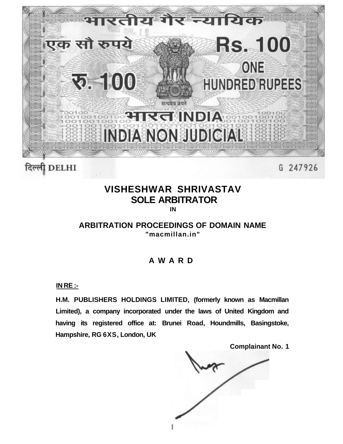

# **VISHESHWAR SHRIVASTAV SOLE ARBITRATOR**

**IN** 

**ARBITRATION PROCEEDINGS OF DOMAIN NAME "macmillan.in"** 

# **AWAR D**

**IN RE :-**

**H.M. PUBLISHERS HOLDINGS LIMITED, (formerly known as Macmillan Limited), a company incorporated under the laws of United Kingdom and having its registered office at: Brunei Road, Houndmills, Basingstoke, Hampshire, RG 6XS, London, UK** 

**Complainant No. 1** 

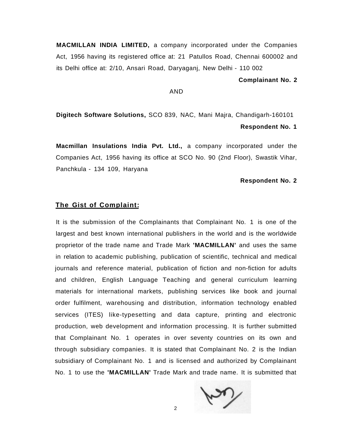**MACMILLAN INDIA LIMITED,** a company incorporated under the Companies Act, 1956 having its registered office at: 21 Patullos Road, Chennai 600002 and its Delhi office at: 2/10, Ansari Road, Daryaganj, New Delhi - 110 002

**Complainant No. 2** 

## AND

**Digitech Software Solutions,** SCO 839, NAC, Mani Majra, Chandigarh-160101 **Respondent No. 1** 

**Macmillan Insulations India Pvt. Ltd.,** a company incorporated under the Companies Act, 1956 having its office at SCO No. 90 (2nd Floor), Swastik Vihar, Panchkula - 134 109, Haryana

#### **Respondent No. 2**

### **The Gist of Complaint:**

It is the submission of the Complainants that Complainant No. 1 is one of the largest and best known international publishers in the world and is the worldwide proprietor of the trade name and Trade Mark **'MACMILLAN'** and uses the same in relation to academic publishing, publication of scientific, technical and medical journals and reference material, publication of fiction and non-fiction for adults and children, English Language Teaching and general curriculum learning materials for international markets, publishing services like book and journal order fulfilment, warehousing and distribution, information technology enabled services (ITES) like-typesetting and data capture, printing and electronic production, web development and information processing. It is further submitted that Complainant No. 1 operates in over seventy countries on its own and through subsidiary companies. It is stated that Complainant No. 2 is the Indian subsidiary of Complainant No. 1 and is licensed and authorized by Complainant No. 1 to use the **'MACMILLAN'** Trade Mark and trade name. It is submitted that

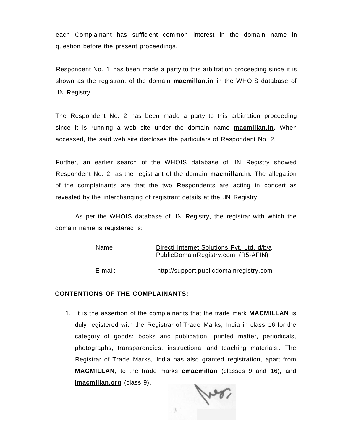each Complainant has sufficient common interest in the domain name in question before the present proceedings.

Respondent No. 1 has been made a party to this arbitration proceeding since it is shown as the registrant of the domain **macmillan.in** in the WHOIS database of .IN Registry.

The Respondent No. 2 has been made a party to this arbitration proceeding since it is running a web site under the domain name **macmillan.in.** When accessed, the said web site discloses the particulars of Respondent No. 2.

Further, an earlier search of the WHOIS database of .IN Registry showed Respondent No. 2 as the registrant of the domain **macmillan.in.** The allegation of the complainants are that the two Respondents are acting in concert as revealed by the interchanging of registrant details at the .IN Registry.

As per the WHOIS database of .IN Registry, the registrar with which the domain name is registered is:

| Name:   | Directi Internet Solutions Pvt. Ltd. d/b/a |
|---------|--------------------------------------------|
|         | PublicDomainRegistry.com (R5-AFIN)         |
|         |                                            |
| E-mail: | http://support.publicdomainregistry.com    |

# **CONTENTIONS OF THE COMPLAINANTS:**

1. It is the assertion of the complainants that the trade mark **MACMILLAN** is duly registered with the Registrar of Trade Marks, India in class 16 for the category of goods: books and publication, printed matter, periodicals, photographs, transparencies, instructional and teaching materials.. The Registrar of Trade Marks, India has also granted registration, apart from **MACMILLAN,** to the trade marks **emacmillan** (classes 9 and 16), and **[imacmillan.org](http://imacmillan.org)** (class 9).

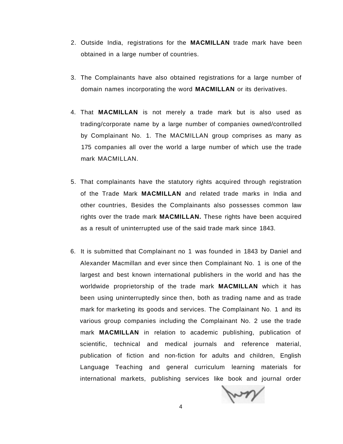- 2. Outside India, registrations for the **MACMILLAN** trade mark have been obtained in a large number of countries.
- 3. The Complainants have also obtained registrations for a large number of domain names incorporating the word **MACMILLAN** or its derivatives.
- 4. That **MACMILLAN** is not merely a trade mark but is also used as trading/corporate name by a large number of companies owned/controlled by Complainant No. 1. The MACMILLAN group comprises as many as 175 companies all over the world a large number of which use the trade mark MACMILLAN.
- 5. That complainants have the statutory rights acquired through registration of the Trade Mark **MACMILLAN** and related trade marks in India and other countries, Besides the Complainants also possesses common law rights over the trade mark **MACMILLAN.** These rights have been acquired as a result of uninterrupted use of the said trade mark since 1843.
- 6. It is submitted that Complainant no 1 was founded in 1843 by Daniel and Alexander Macmillan and ever since then Complainant No. 1 is one of the largest and best known international publishers in the world and has the worldwide proprietorship of the trade mark **MACMILLAN** which it has been using uninterruptedly since then, both as trading name and as trade mark for marketing its goods and services. The Complainant No. 1 and its various group companies including the Complainant No. 2 use the trade mark **MACMILLAN** in relation to academic publishing, publication of scientific, technical and medical journals and reference material, publication of fiction and non-fiction for adults and children, English Language Teaching and general curriculum learning materials for international markets, publishing services like book and journal order

my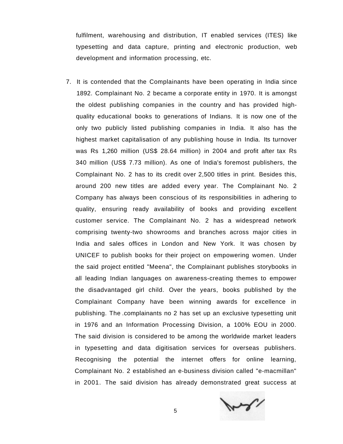fulfilment, warehousing and distribution, IT enabled services (ITES) like typesetting and data capture, printing and electronic production, web development and information processing, etc.

7. It is contended that the Complainants have been operating in India since 1892. Complainant No. 2 became a corporate entity in 1970. It is amongst the oldest publishing companies in the country and has provided highquality educational books to generations of Indians. It is now one of the only two publicly listed publishing companies in India. It also has the highest market capitalisation of any publishing house in India. Its turnover was Rs 1,260 million (US\$ 28.64 million) in 2004 and profit after tax Rs 340 million (US\$ 7.73 million). As one of India's foremost publishers, the Complainant No. 2 has to its credit over 2,500 titles in print. Besides this, around 200 new titles are added every year. The Complainant No. 2 Company has always been conscious of its responsibilities in adhering to quality, ensuring ready availability of books and providing excellent customer service. The Complainant No. 2 has a widespread network comprising twenty-two showrooms and branches across major cities in India and sales offices in London and New York. It was chosen by UNICEF to publish books for their project on empowering women. Under the said project entitled "Meena", the Complainant publishes storybooks in all leading Indian languages on awareness-creating themes to empower the disadvantaged girl child. Over the years, books published by the Complainant Company have been winning awards for excellence in publishing. The .complainants no 2 has set up an exclusive typesetting unit in 1976 and an Information Processing Division, a 100% EOU in 2000. The said division is considered to be among the worldwide market leaders in typesetting and data digitisation services for overseas publishers. Recognising the potential the internet offers for online learning, Complainant No. 2 established an e-business division called "e-macmillan" in 2001. The said division has already demonstrated great success at

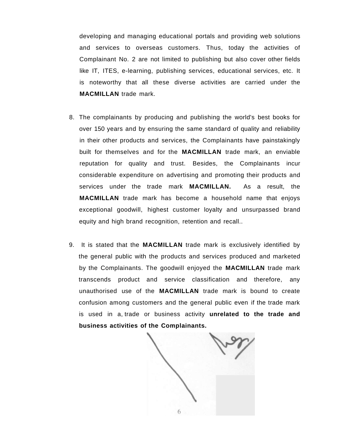developing and managing educational portals and providing web solutions and services to overseas customers. Thus, today the activities of Complainant No. 2 are not limited to publishing but also cover other fields like IT, ITES, e-learning, publishing services, educational services, etc. It is noteworthy that all these diverse activities are carried under the **MACMILLAN** trade mark.

- 8. The complainants by producing and publishing the world's best books for over 150 years and by ensuring the same standard of quality and reliability in their other products and services, the Complainants have painstakingly built for themselves and for the **MACMILLAN** trade mark, an enviable reputation for quality and trust. Besides, the Complainants incur considerable expenditure on advertising and promoting their products and services under the trade mark **MACMILLAN.** As a result, the **MACMILLAN** trade mark has become a household name that enjoys exceptional goodwill, highest customer loyalty and unsurpassed brand equity and high brand recognition, retention and recall..
- 9. It is stated that the **MACMILLAN** trade mark is exclusively identified by the general public with the products and services produced and marketed by the Complainants. The goodwill enjoyed the **MACMILLAN** trade mark transcends product and service classification and therefore, any unauthorised use of the **MACMILLAN** trade mark is bound to create confusion among customers and the general public even if the trade mark is used in a, trade or business activity **unrelated to the trade and business activities of the Complainants.**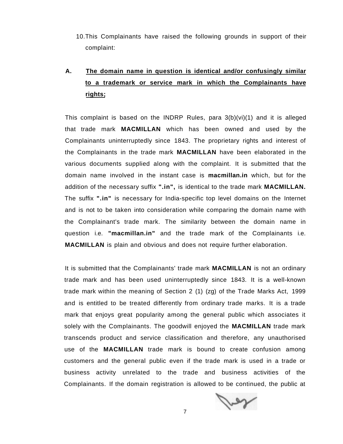10.This Complainants have raised the following grounds in support of their complaint:

# **A. The domain name in question is identical and/or confusingly similar to a trademark or service mark in which the Complainants have rights;**

This complaint is based on the INDRP Rules, para  $3(b)(vi)(1)$  and it is alleged that trade mark **MACMILLAN** which has been owned and used by the Complainants uninterruptedly since 1843. The proprietary rights and interest of the Complainants in the trade mark **MACMILLAN** have been elaborated in the various documents supplied along with the complaint. It is submitted that the domain name involved in the instant case is **macmillan.in** which, but for the addition of the necessary suffix **".in",** is identical to the trade mark **MACMILLAN.**  The suffix **".in"** is necessary for India-specific top level domains on the Internet and is not to be taken into consideration while comparing the domain name with the Complainant's trade mark. The similarity between the domain name in question i.e. **"macmillan.in"** and the trade mark of the Complainants i.e. **MACMILLAN** is plain and obvious and does not require further elaboration.

It is submitted that the Complainants' trade mark **MACMILLAN** is not an ordinary trade mark and has been used uninterruptedly since 1843. It is a well-known trade mark within the meaning of Section 2 (1) (zg) of the Trade Marks Act, 1999 and is entitled to be treated differently from ordinary trade marks. It is a trade mark that enjoys great popularity among the general public which associates it solely with the Complainants. The goodwill enjoyed the **MACMILLAN** trade mark transcends product and service classification and therefore, any unauthorised use of the **MACMILLAN** trade mark is bound to create confusion among customers and the general public even if the trade mark is used in a trade or business activity unrelated to the trade and business activities of the Complainants. If the domain registration is allowed to be continued, the public at

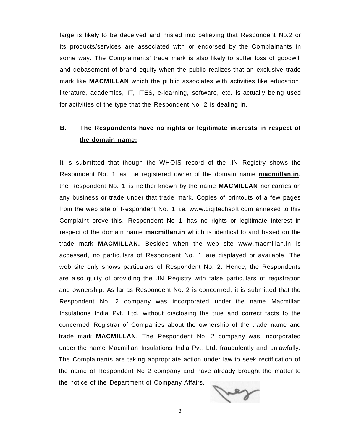large is likely to be deceived and misled into believing that Respondent No.2 or its products/services are associated with or endorsed by the Complainants in some way. The Complainants' trade mark is also likely to suffer loss of goodwill and debasement of brand equity when the public realizes that an exclusive trade mark like **MACMILLAN** which the public associates with activities like education, literature, academics, IT, ITES, e-learning, software, etc. is actually being used for activities of the type that the Respondent No. 2 is dealing in.

# **B. The Respondents have no rights or legitimate interests in respect of the domain name;**

It is submitted that though the WHOIS record of the .IN Registry shows the Respondent No. 1 as the registered owner of the domain name **macmillan.in,**  the Respondent No. 1 is neither known by the name **MACMILLAN** nor carries on any business or trade under that trade mark. Copies of printouts of a few pages from the web site of Respondent No. 1 i.e. www.digitechsoft.com annexed to this Complaint prove this. Respondent No 1 has no rights or legitimate interest in respect of the domain name **macmillan.in** which is identical to and based on the trade mark **MACMILLAN.** Besides when the web site [www.macmillan.in i](http://www.macmillan.in)s accessed, no particulars of Respondent No. 1 are displayed or available. The web site only shows particulars of Respondent No. 2. Hence, the Respondents are also guilty of providing the .IN Registry with false particulars of registration and ownership. As far as Respondent No. 2 is concerned, it is submitted that the Respondent No. 2 company was incorporated under the name Macmillan Insulations India Pvt. Ltd. without disclosing the true and correct facts to the concerned Registrar of Companies about the ownership of the trade name and trade mark **MACMILLAN.** The Respondent No. 2 company was incorporated under the name Macmillan Insulations India Pvt. Ltd. fraudulently and unlawfully. The Complainants are taking appropriate action under law to seek rectification of the name of Respondent No 2 company and have already brought the matter to the notice of the Department of Company Affairs.

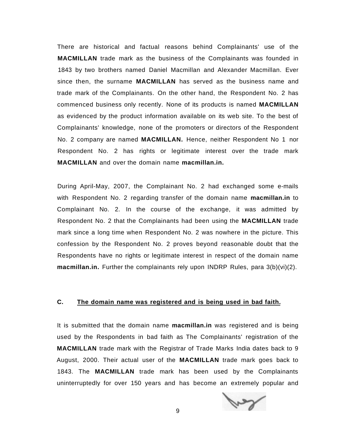There are historical and factual reasons behind Complainants' use of the **MACMILLAN** trade mark as the business of the Complainants was founded in 1843 by two brothers named Daniel Macmillan and Alexander Macmillan. Ever since then, the surname **MACMILLAN** has served as the business name and trade mark of the Complainants. On the other hand, the Respondent No. 2 has commenced business only recently. None of its products is named **MACMILLAN**  as evidenced by the product information available on its web site. To the best of Complainants' knowledge, none of the promoters or directors of the Respondent No. 2 company are named **MACMILLAN.** Hence, neither Respondent No 1 nor Respondent No. 2 has rights or legitimate interest over the trade mark **MACMILLAN** and over the domain name **macmillan.in.** 

During April-May, 2007, the Complainant No. 2 had exchanged some e-mails with Respondent No. 2 regarding transfer of the domain name **macmillan.in** to Complainant No. 2. In the course of the exchange, it was admitted by Respondent No. 2 that the Complainants had been using the **MACMILLAN** trade mark since a long time when Respondent No. 2 was nowhere in the picture. This confession by the Respondent No. 2 proves beyond reasonable doubt that the Respondents have no rights or legitimate interest in respect of the domain name **macmillan.in.** Further the complainants rely upon INDRP Rules, para 3(b)(vi)(2).

## **C. The domain name was registered and is being used in bad faith.**

It is submitted that the domain name **macmillan.in** was registered and is being used by the Respondents in bad faith as The Complainants' registration of the **MACMILLAN** trade mark with the Registrar of Trade Marks India dates back to 9 August, 2000. Their actual user of the **MACMILLAN** trade mark goes back to 1843. The **MACMILLAN** trade mark has been used by the Complainants uninterruptedly for over 150 years and has become an extremely popular and

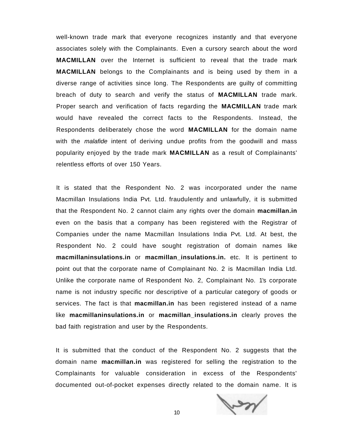well-known trade mark that everyone recognizes instantly and that everyone associates solely with the Complainants. Even a cursory search about the word **MACMILLAN** over the Internet is sufficient to reveal that the trade mark **MACMILLAN** belongs to the Complainants and is being used by them in a diverse range of activities since long. The Respondents are guilty of committing breach of duty to search and verify the status of **MACMILLAN** trade mark. Proper search and verification of facts regarding the **MACMILLAN** trade mark would have revealed the correct facts to the Respondents. Instead, the Respondents deliberately chose the word **MACMILLAN** for the domain name with the *malafide* intent of deriving undue profits from the goodwill and mass popularity enjoyed by the trade mark **MACMILLAN** as a result of Complainants' relentless efforts of over 150 Years.

It is stated that the Respondent No. 2 was incorporated under the name Macmillan Insulations India Pvt. Ltd. fraudulently and unlawfully, it is submitted that the Respondent No. 2 cannot claim any rights over the domain **macmillan.in**  even on the basis that a company has been registered with the Registrar of Companies under the name Macmillan Insulations India Pvt. Ltd. At best, the Respondent No. 2 could have sought registration of domain names like **macmillaninsulations.in** or **macmillan\_insulations.in.** etc. It is pertinent to point out that the corporate name of Complainant No. 2 is Macmillan India Ltd. Unlike the corporate name of Respondent No. 2, Complainant No. 1's corporate name is not industry specific nor descriptive of a particular category of goods or services. The fact is that **macmillan.in** has been registered instead of a name like **macmillaninsulations.in** or **macmillan\_insulations.in** clearly proves the bad faith registration and user by the Respondents.

It is submitted that the conduct of the Respondent No. 2 suggests that the domain name **macmillan.in** was registered for selling the registration to the Complainants for valuable consideration in excess of the Respondents' documented out-of-pocket expenses directly related to the domain name. It is

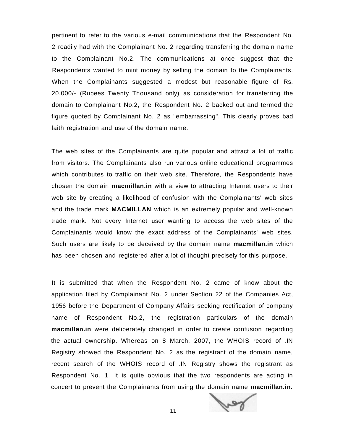pertinent to refer to the various e-mail communications that the Respondent No. 2 readily had with the Complainant No. 2 regarding transferring the domain name to the Complainant No.2. The communications at once suggest that the Respondents wanted to mint money by selling the domain to the Complainants. When the Complainants suggested a modest but reasonable figure of Rs. 20,000/- (Rupees Twenty Thousand only) as consideration for transferring the domain to Complainant No.2, the Respondent No. 2 backed out and termed the figure quoted by Complainant No. 2 as "embarrassing". This clearly proves bad faith registration and use of the domain name.

The web sites of the Complainants are quite popular and attract a lot of traffic from visitors. The Complainants also run various online educational programmes which contributes to traffic on their web site. Therefore, the Respondents have chosen the domain **macmillan.in** with a view to attracting Internet users to their web site by creating a likelihood of confusion with the Complainants' web sites and the trade mark **MACMILLAN** which is an extremely popular and well-known trade mark. Not every Internet user wanting to access the web sites of the Complainants would know the exact address of the Complainants' web sites. Such users are likely to be deceived by the domain name **macmillan.in** which has been chosen and registered after a lot of thought precisely for this purpose.

It is submitted that when the Respondent No. 2 came of know about the application filed by Complainant No. 2 under Section 22 of the Companies Act, 1956 before the Department of Company Affairs seeking rectification of company name of Respondent No.2, the registration particulars of the domain **macmillan.in** were deliberately changed in order to create confusion regarding the actual ownership. Whereas on 8 March, 2007, the WHOIS record of .IN Registry showed the Respondent No. 2 as the registrant of the domain name, recent search of the WHOIS record of .IN Registry shows the registrant as Respondent No. 1. It is quite obvious that the two respondents are acting in concert to prevent the Complainants from using the domain name **macmillan.in.** 



11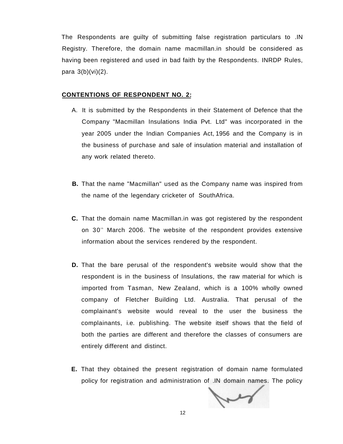The Respondents are guilty of submitting false registration particulars to .IN Registry. Therefore, the domain name macmillan.in should be considered as having been registered and used in bad faith by the Respondents. INRDP Rules, para 3(b)(vi)(2).

#### **CONTENTIONS OF RESPONDENT NO. 2:**

- A. It is submitted by the Respondents in their Statement of Defence that the Company "Macmillan Insulations India Pvt. Ltd" was incorporated in the year 2005 under the Indian Companies Act, 1956 and the Company is in the business of purchase and sale of insulation material and installation of any work related thereto.
- **B.** That the name "Macmillan" used as the Company name was inspired from the name of the legendary cricketer of SouthAfrica.
- **C.** That the domain name Macmillan.in was got registered by the respondent on 30<sup>th</sup> March 2006. The website of the respondent provides extensive information about the services rendered by the respondent.
- **D.** That the bare perusal of the respondent's website would show that the respondent is in the business of Insulations, the raw material for which is imported from Tasman, New Zealand, which is a 100% wholly owned company of Fletcher Building Ltd. Australia. That perusal of the complainant's website would reveal to the user the business the complainants, i.e. publishing. The website itself shows that the field of both the parties are different and therefore the classes of consumers are entirely different and distinct.
- **E.** That they obtained the present registration of domain name formulated policy for registration and administration of .IN domain names. The policy

wy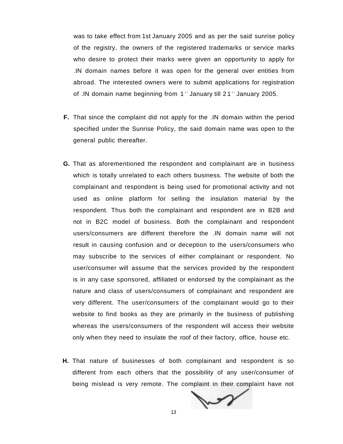was to take effect from 1st January 2005 and as per the said sunrise policy of the registry, the owners of the registered trademarks or service marks who desire to protect their marks were given an opportunity to apply for .IN domain names before it was open for the general over entities from abroad. The interested owners were to submit applications for registration of .IN domain name beginning from 1<sup>se</sup> January till 21<sup>se</sup> January 2005.

- **F.** That since the complaint did not apply for the .IN domain within the period specified under the Sunrise Policy, the said domain name was open to the general public thereafter.
- **G.** That as aforementioned the respondent and complainant are in business which is totally unrelated to each others business. The website of both the complainant and respondent is being used for promotional activity and not used as online platform for selling the insulation material by the respondent. Thus both the complainant and respondent are in B2B and not in B2C model of business. Both the complainant and respondent users/consumers are different therefore the .IN domain name will not result in causing confusion and or deception to the users/consumers who may subscribe to the services of either complainant or respondent. No user/consumer will assume that the services provided by the respondent is in any case sponsored, affiliated or endorsed by the complainant as the nature and class of users/consumers of complainant and respondent are very different. The user/consumers of the complainant would go to their website to find books as they are primarily in the business of publishing whereas the users/consumers of the respondent will access their website only when they need to insulate the roof of their factory, office, house etc.
- **H.** That nature of businesses of both complainant and respondent is so different from each others that the possibility of any user/consumer of being mislead is very remote. The complaint in their complaint have not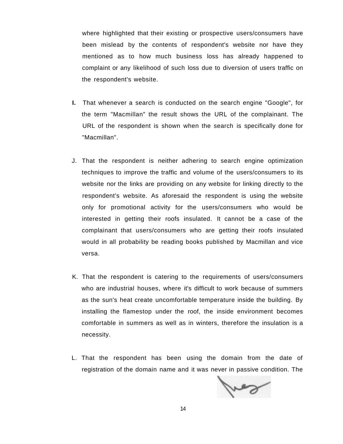where highlighted that their existing or prospective users/consumers have been mislead by the contents of respondent's website nor have they mentioned as to how much business loss has already happened to complaint or any likelihood of such loss due to diversion of users traffic on the respondent's website.

- **I.** That whenever a search is conducted on the search engine "Google", for the term "Macmillan" the result shows the URL of the complainant. The URL of the respondent is shown when the search is specifically done for "Macmillan".
- J. That the respondent is neither adhering to search engine optimization techniques to improve the traffic and volume of the users/consumers to its website nor the links are providing on any website for linking directly to the respondent's website. As aforesaid the respondent is using the website only for promotional activity for the users/consumers who would be interested in getting their roofs insulated. It cannot be a case of the complainant that users/consumers who are getting their roofs insulated would in all probability be reading books published by Macmillan and vice versa.
- K. That the respondent is catering to the requirements of users/consumers who are industrial houses, where it's difficult to work because of summers as the sun's heat create uncomfortable temperature inside the building. By installing the flamestop under the roof, the inside environment becomes comfortable in summers as well as in winters, therefore the insulation is a necessity.
- L. That the respondent has been using the domain from the date of registration of the domain name and it was never in passive condition. The

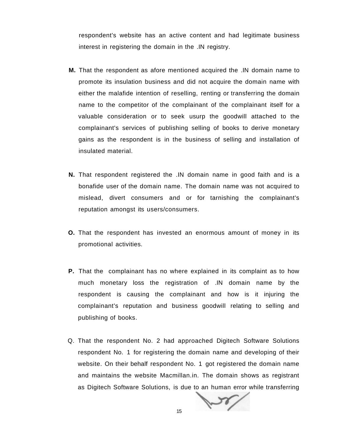respondent's website has an active content and had legitimate business interest in registering the domain in the .IN registry.

- **M.** That the respondent as afore mentioned acquired the .IN domain name to promote its insulation business and did not acquire the domain name with either the malafide intention of reselling, renting or transferring the domain name to the competitor of the complainant of the complainant itself for a valuable consideration or to seek usurp the goodwill attached to the complainant's services of publishing selling of books to derive monetary gains as the respondent is in the business of selling and installation of insulated material.
- **N.** That respondent registered the .IN domain name in good faith and is a bonafide user of the domain name. The domain name was not acquired to mislead, divert consumers and or for tarnishing the complainant's reputation amongst its users/consumers.
- **O.** That the respondent has invested an enormous amount of money in its promotional activities.
- **P.** That the complainant has no where explained in its complaint as to how much monetary loss the registration of .IN domain name by the respondent is causing the complainant and how is it injuring the complainant's reputation and business goodwill relating to selling and publishing of books.
- Q. That the respondent No. 2 had approached Digitech Software Solutions respondent No. 1 for registering the domain name and developing of their website. On their behalf respondent No. 1 got registered the domain name and maintains the website Macmillan.in. The domain shows as registrant as Digitech Software Solutions, is due to an human error while transferring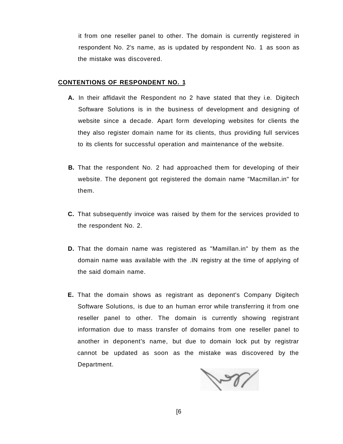it from one reseller panel to other. The domain is currently registered in respondent No. 2's name, as is updated by respondent No. 1 as soon as the mistake was discovered.

### **CONTENTIONS OF RESPONDENT NO. 1**

- **A.** In their affidavit the Respondent no 2 have stated that they i.e. Digitech Software Solutions is in the business of development and designing of website since a decade. Apart form developing websites for clients the they also register domain name for its clients, thus providing full services to its clients for successful operation and maintenance of the website.
- **B.** That the respondent No. 2 had approached them for developing of their website. The deponent got registered the domain name "Macmillan.in" for them.
- **C.** That subsequently invoice was raised by them for the services provided to the respondent No. 2.
- **D.** That the domain name was registered as "Mamillan.in" by them as the domain name was available with the .IN registry at the time of applying of the said domain name.
- **E.** That the domain shows as registrant as deponent's Company Digitech Software Solutions, is due to an human error while transferring it from one reseller panel to other. The domain is currently showing registrant information due to mass transfer of domains from one reseller panel to another in deponent's name, but due to domain lock put by registrar cannot be updated as soon as the mistake was discovered by the Department.

Ver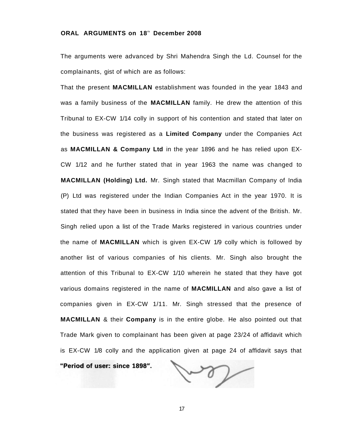#### **ORAL ARGUMENTS on 18<sup>t</sup> <sup>h</sup> December 2008**

The arguments were advanced by Shri Mahendra Singh the Ld. Counsel for the complainants, gist of which are as follows:

That the present **MACMILLAN** establishment was founded in the year 1843 and was a family business of the **MACMILLAN** family. He drew the attention of this Tribunal to EX-CW 1/14 colly in support of his contention and stated that later on the business was registered as a **Limited Company** under the Companies Act as **MACMILLAN & Company Ltd** in the year 1896 and he has relied upon EX-CW 1/12 and he further stated that in year 1963 the name was changed to **MACMILLAN (Holding) Ltd.** Mr. Singh stated that Macmillan Company of India (P) Ltd was registered under the Indian Companies Act in the year 1970. It is stated that they have been in business in India since the advent of the British. Mr. Singh relied upon a list of the Trade Marks registered in various countries under the name of **MACMILLAN** which is given EX-CW 1/9 colly which is followed by another list of various companies of his clients. Mr. Singh also brought the attention of this Tribunal to EX-CW 1/10 wherein he stated that they have got various domains registered in the name of **MACMILLAN** and also gave a list of companies given in EX-CW 1/11. Mr. Singh stressed that the presence of **MACMILLAN** & their **Company** is in the entire globe. He also pointed out that Trade Mark given to complainant has been given at page 23/24 of affidavit which is EX-CW 1/8 colly and the application given at page 24 of affidavit says that

**"Period of user: since 1898".** 

ten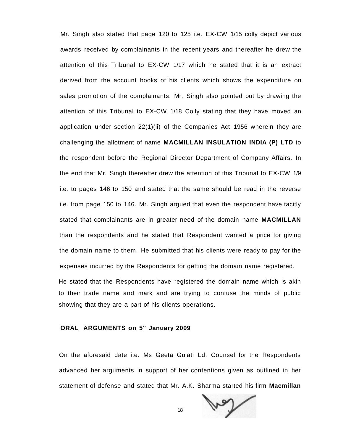Mr. Singh also stated that page 120 to 125 i.e. EX-CW 1/15 colly depict various awards received by complainants in the recent years and thereafter he drew the attention of this Tribunal to EX-CW 1/17 which he stated that it is an extract derived from the account books of his clients which shows the expenditure on sales promotion of the complainants. Mr. Singh also pointed out by drawing the attention of this Tribunal to EX-CW 1/18 Colly stating that they have moved an application under section 22(1)(ii) of the Companies Act 1956 wherein they are challenging the allotment of name **MACMILLAN INSULATION INDIA (P) LTD** to the respondent before the Regional Director Department of Company Affairs. In the end that Mr. Singh thereafter drew the attention of this Tribunal to EX-CW 1/9 i.e. to pages 146 to 150 and stated that the same should be read in the reverse i.e. from page 150 to 146. Mr. Singh argued that even the respondent have tacitly stated that complainants are in greater need of the domain name **MACMILLAN**  than the respondents and he stated that Respondent wanted a price for giving the domain name to them. He submitted that his clients were ready to pay for the expenses incurred by the Respondents for getting the domain name registered.

He stated that the Respondents have registered the domain name which is akin to their trade name and mark and are trying to confuse the minds of public showing that they are a part of his clients operations.

#### **ORAL ARGUMENTS on 5<sup>t</sup> <sup>h</sup> January 2009**

On the aforesaid date i.e. Ms Geeta Gulati Ld. Counsel for the Respondents advanced her arguments in support of her contentions given as outlined in her statement of defense and stated that Mr. A.K. Sharma started his firm **Macmillan** 



18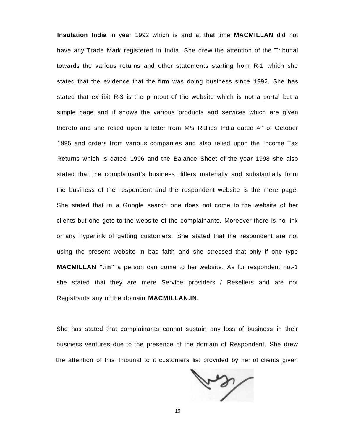**Insulation India** in year 1992 which is and at that time **MACMILLAN** did not have any Trade Mark registered in India. She drew the attention of the Tribunal towards the various returns and other statements starting from R-1 which she stated that the evidence that the firm was doing business since 1992. She has stated that exhibit R-3 is the printout of the website which is not a portal but a simple page and it shows the various products and services which are given thereto and she relied upon a letter from M/s Rallies India dated 4<sup>th</sup> of October 1995 and orders from various companies and also relied upon the Income Tax Returns which is dated 1996 and the Balance Sheet of the year 1998 she also stated that the complainant's business differs materially and substantially from the business of the respondent and the respondent website is the mere page. She stated that in a Google search one does not come to the website of her clients but one gets to the website of the complainants. Moreover there is no link or any hyperlink of getting customers. She stated that the respondent are not using the present website in bad faith and she stressed that only if one type **MACMILLAN ".in"** a person can come to her website. As for respondent no.-1 she stated that they are mere Service providers / Resellers and are not Registrants any of the domain **MACMILLAN.IN.** 

She has stated that complainants cannot sustain any loss of business in their business ventures due to the presence of the domain of Respondent. She drew the attention of this Tribunal to it customers list provided by her of clients given

ten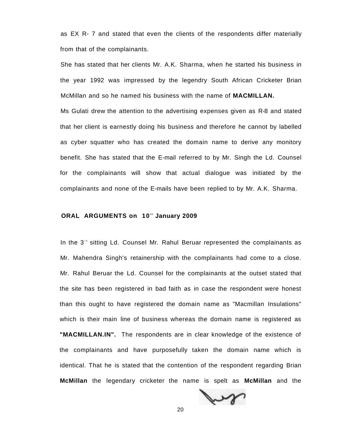as EX R- 7 and stated that even the clients of the respondents differ materially from that of the complainants.

She has stated that her clients Mr. A.K. Sharma, when he started his business in the year 1992 was impressed by the legendry South African Cricketer Brian McMillan and so he named his business with the name of **MACMILLAN.** 

Ms Gulati drew the attention to the advertising expenses given as R-8 and stated that her client is earnestly doing his business and therefore he cannot by labelled as cyber squatter who has created the domain name to derive any monitory benefit. She has stated that the E-mail referred to by Mr. Singh the Ld. Counsel for the complainants will show that actual dialogue was initiated by the complainants and none of the E-mails have been replied to by Mr. A.K. Sharma.

#### **ORAL ARGUMENTS on 10<sup>t</sup> <sup>h</sup> January 2009**

In the 3<sup>re</sup> sitting Ld. Counsel Mr. Rahul Beruar represented the complainants as Mr. Mahendra Singh's retainership with the complainants had come to a close. Mr. Rahul Beruar the Ld. Counsel for the complainants at the outset stated that the site has been registered in bad faith as in case the respondent were honest than this ought to have registered the domain name as "Macmillan Insulations" which is their main line of business whereas the domain name is registered as **"MACMILLAN.IN".** The respondents are in clear knowledge of the existence of the complainants and have purposefully taken the domain name which is identical. That he is stated that the contention of the respondent regarding Brian **McMillan** the legendary cricketer the name is spelt as **McMillan** and the



20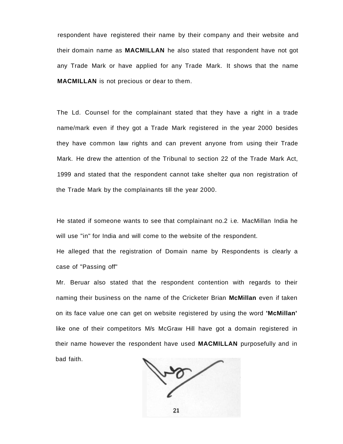respondent have registered their name by their company and their website and their domain name as **MACMILLAN** he also stated that respondent have not got any Trade Mark or have applied for any Trade Mark. It shows that the name **MACMILLAN** is not precious or dear to them.

The Ld. Counsel for the complainant stated that they have a right in a trade name/mark even if they got a Trade Mark registered in the year 2000 besides they have common law rights and can prevent anyone from using their Trade Mark. He drew the attention of the Tribunal to section 22 of the Trade Mark Act, 1999 and stated that the respondent cannot take shelter qua non registration of the Trade Mark by the complainants till the year 2000.

He stated if someone wants to see that complainant no.2 i.e. MacMillan India he will use "in" for India and will come to the website of the respondent.

He alleged that the registration of Domain name by Respondents is clearly a case of "Passing off"

Mr. Beruar also stated that the respondent contention with regards to their naming their business on the name of the Cricketer Brian **McMillan** even if taken on its face value one can get on website registered by using the word **'McMillan'**  like one of their competitors M/s McGraw Hill have got a domain registered in their name however the respondent have used **MACMILLAN** purposefully and in bad faith.

21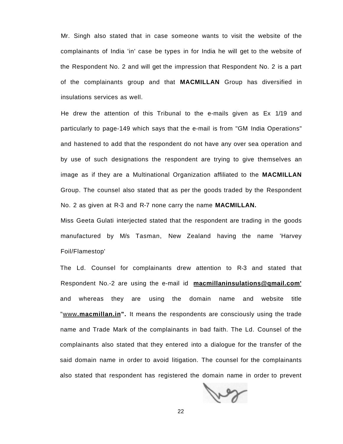Mr. Singh also stated that in case someone wants to visit the website of the complainants of India 'in' case be types in for India he will get to the website of the Respondent No. 2 and will get the impression that Respondent No. 2 is a part of the complainants group and that **MACMILLAN** Group has diversified in insulations services as well.

He drew the attention of this Tribunal to the e-mails given as Ex 1/19 and particularly to page-149 which says that the e-mail is from "GM India Operations" and hastened to add that the respondent do not have any over sea operation and by use of such designations the respondent are trying to give themselves an image as if they are a Multinational Organization affiliated to the **MACMILLAN**  Group. The counsel also stated that as per the goods traded by the Respondent No. 2 as given at R-3 and R-7 none carry the name **MACMILLAN.** 

Miss Geeta Gulati interjected stated that the respondent are trading in the goods manufactured by M/s Tasman, New Zealand having the name 'Harvey Foil/Flamestop'

The Ld. Counsel for complainants drew attention to R-3 and stated that Respondent No.-2 are using the e-mail id **[macmillaninsulations@qmail.com'](mailto:macmillaninsulations@qmail.com)**  and whereas they are using the domain name and website title "www**[.macmillan.in"](http://www.macmillan.in).** It means the respondents are consciously using the trade name and Trade Mark of the complainants in bad faith. The Ld. Counsel of the complainants also stated that they entered into a dialogue for the transfer of the said domain name in order to avoid litigation. The counsel for the complainants also stated that respondent has registered the domain name in order to prevent

ber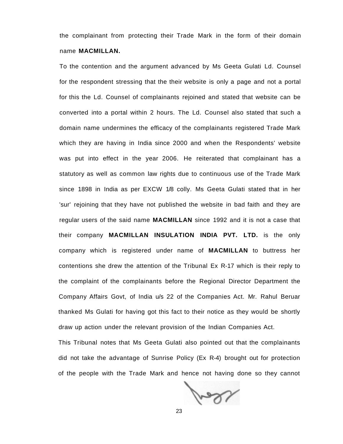the complainant from protecting their Trade Mark in the form of their domain name **MACMILLAN.** 

To the contention and the argument advanced by Ms Geeta Gulati Ld. Counsel for the respondent stressing that the their website is only a page and not a portal for this the Ld. Counsel of complainants rejoined and stated that website can be converted into a portal within 2 hours. The Ld. Counsel also stated that such a domain name undermines the efficacy of the complainants registered Trade Mark which they are having in India since 2000 and when the Respondents' website was put into effect in the year 2006. He reiterated that complainant has a statutory as well as common law rights due to continuous use of the Trade Mark since 1898 in India as per EXCW 1/8 colly. Ms Geeta Gulati stated that in her 'sur' rejoining that they have not published the website in bad faith and they are regular users of the said name **MACMILLAN** since 1992 and it is not a case that their company **MACMILLAN INSULATION INDIA PVT. LTD.** is the only company which is registered under name of **MACMILLAN** to buttress her contentions she drew the attention of the Tribunal Ex R-17 which is their reply to the complaint of the complainants before the Regional Director Department the Company Affairs Govt, of India u/s 22 of the Companies Act. Mr. Rahul Beruar thanked Ms Gulati for having got this fact to their notice as they would be shortly draw up action under the relevant provision of the Indian Companies Act.

This Tribunal notes that Ms Geeta Gulati also pointed out that the complainants did not take the advantage of Sunrise Policy (Ex R-4) brought out for protection of the people with the Trade Mark and hence not having done so they cannot

lay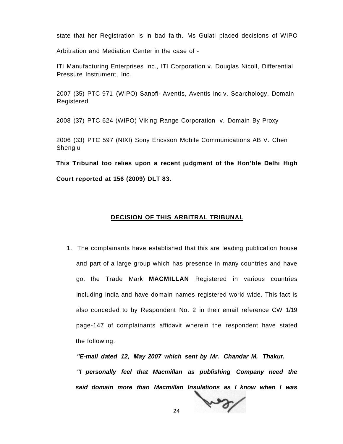state that her Registration is in bad faith. Ms Gulati placed decisions of WIPO

Arbitration and Mediation Center in the case of -

ITI Manufacturing Enterprises Inc., ITI Corporation v. Douglas Nicoll, Differential Pressure Instrument, Inc.

2007 (35) PTC 971 (WIPO) Sanofi- Aventis, Aventis Inc v. Searchology, Domain Registered

2008 (37) PTC 624 (WIPO) Viking Range Corporation v. Domain By Proxy

2006 (33) PTC 597 (NIXI) Sony Ericsson Mobile Communications AB V. Chen Shenglu

**This Tribunal too relies upon a recent judgment of the Hon'ble Delhi High** 

**Court reported at 156 (2009) DLT 83.** 

## **DECISION OF THIS ARBITRAL TRIBUNAL**

1. The complainants have established that this are leading publication house and part of a large group which has presence in many countries and have got the Trade Mark **MACMILLAN** Registered in various countries including India and have domain names registered world wide. This fact is also conceded to by Respondent No. 2 in their email reference CW 1/19 page-147 of complainants affidavit wherein the respondent have stated the following.

**"E-mail dated 12, May 2007 which sent by Mr. Chandar M. Thakur. "I personally feel that Macmillan as publishing Company need the said domain more than Macmillan Insulations as I know when I was** 

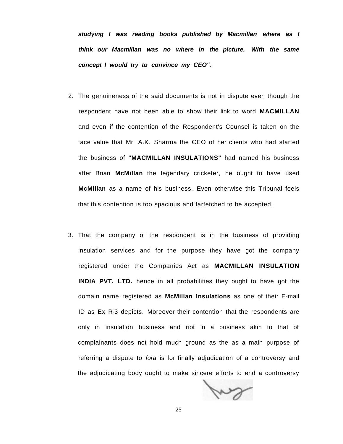**studying I was reading books published by Macmillan where as I think our Macmillan was no where in the picture. With the same concept I would try to convince my CEO".** 

- 2. The genuineness of the said documents is not in dispute even though the respondent have not been able to show their link to word **MACMILLAN**  and even if the contention of the Respondent's Counsel is taken on the face value that Mr. A.K. Sharma the CEO of her clients who had started the business of **"MACMILLAN INSULATIONS"** had named his business after Brian **McMillan** the legendary cricketer, he ought to have used **McMillan** as a name of his business. Even otherwise this Tribunal feels that this contention is too spacious and farfetched to be accepted.
- 3. That the company of the respondent is in the business of providing insulation services and for the purpose they have got the company registered under the Companies Act as **MACMILLAN INSULATION INDIA PVT. LTD.** hence in all probabilities they ought to have got the domain name registered as **McMillan Insulations** as one of their E-mail ID as Ex R-3 depicts. Moreover their contention that the respondents are only in insulation business and riot in a business akin to that of complainants does not hold much ground as the as a main purpose of referring a dispute to fora is for finally adjudication of a controversy and the adjudicating body ought to make sincere efforts to end a controversy

Jun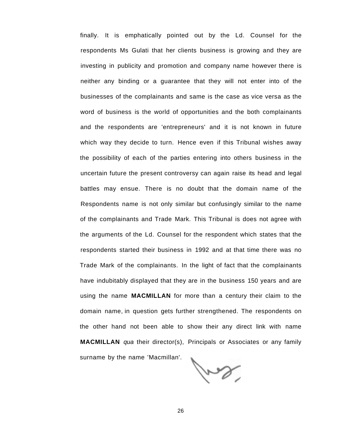finally. It is emphatically pointed out by the Ld. Counsel for the respondents Ms Gulati that her clients business is growing and they are investing in publicity and promotion and company name however there is neither any binding or a guarantee that they will not enter into of the businesses of the complainants and same is the case as vice versa as the word of business is the world of opportunities and the both complainants and the respondents are 'entrepreneurs' and it is not known in future which way they decide to turn. Hence even if this Tribunal wishes away the possibility of each of the parties entering into others business in the uncertain future the present controversy can again raise its head and legal battles may ensue. There is no doubt that the domain name of the Respondents name is not only similar but confusingly similar to the name of the complainants and Trade Mark. This Tribunal is does not agree with the arguments of the Ld. Counsel for the respondent which states that the respondents started their business in 1992 and at that time there was no Trade Mark of the complainants. In the light of fact that the complainants have indubitably displayed that they are in the business 150 years and are using the name **MACMILLAN** for more than a century their claim to the domain name, in question gets further strengthened. The respondents on the other hand not been able to show their any direct link with name **MACMILLAN** qua their director(s), Principals or Associates or any family surname by the name 'Macmillan'.

for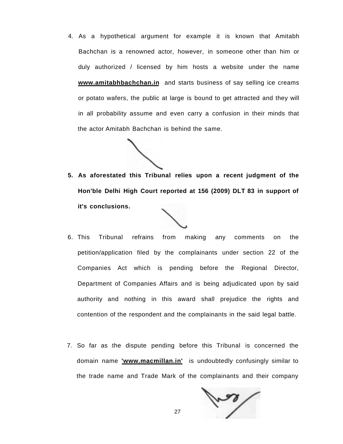4. As a hypothetical argument for example it is known that Amitabh Bachchan is a renowned actor, however, in someone other than him or duly authorized / licensed by him hosts a website under the name **[www.amitabhbachchan.in](http://www.amitabhbachchan.in)** and starts business of say selling ice creams or potato wafers, the public at large is bound to get attracted and they will in all probability assume and even carry a confusion in their minds that the actor Amitabh Bachchan is behind the same.

**5. As aforestated this Tribunal relies upon a recent judgment of the Hon'ble Delhi High Court reported at 156 (2009) DLT 83 in support of it's conclusions.** 

- 6. This Tribunal refrains from making any comments on the petition/application filed by the complainants under section 22 of the Companies Act which is pending before the Regional Director, Department of Companies Affairs and is being adjudicated upon by said authority and nothing in this award shall prejudice the rights and contention of the respondent and the complainants in the said legal battle.
- 7. So far as the dispute pending before this Tribunal is concerned the domain name **['www.macmillan.in'](http://)** is undoubtedly confusingly similar to the trade name and Trade Mark of the complainants and their company